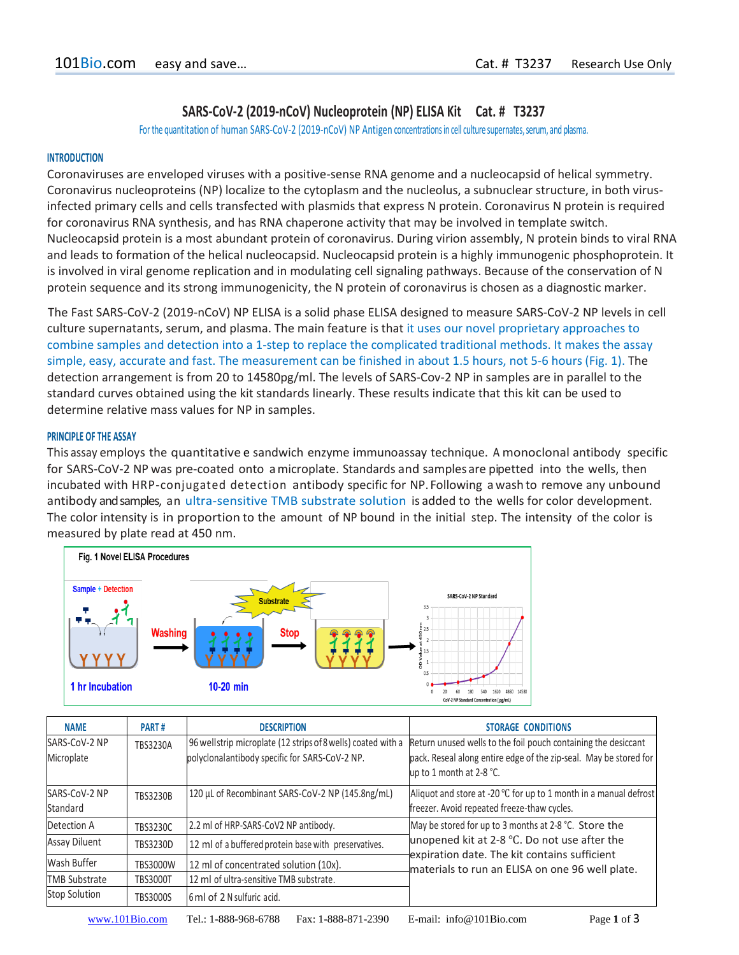# **SARS-CoV-2 (2019-nCoV) Nucleoprotein (NP) ELISA Kit Cat. # T3237**

For the quantitation of human SARS-CoV-2 (2019-nCoV) NP Antigen concentrationsin cell culture supernates, serum, and plasma.

### **INTRODUCTION**

Coronaviruses are enveloped viruses with a positive-sense RNA genome and a nucleocapsid of helical symmetry. Coronavirus nucleoproteins (NP) localize to the cytoplasm and the nucleolus, a subnuclear structure, in both virusinfected primary cells and cells transfected with plasmids that express N protein. Coronavirus N protein is required for coronavirus RNA synthesis, and has RNA chaperone activity that may be involved in template switch. Nucleocapsid protein is a most abundant protein of coronavirus. During virion assembly, N protein binds to viral RNA and leads to formation of the helical nucleocapsid. Nucleocapsid protein is a highly immunogenic phosphoprotein. It is involved in viral genome replication and in modulating cell signaling pathways. Because of the conservation of N protein sequence and its strong immunogenicity, the N protein of coronavirus is chosen as a diagnostic marker.

The Fast SARS-CoV-2 (2019-nCoV) NP ELISA is a solid phase ELISA designed to measure SARS-CoV-2 NP levels in cell culture supernatants, serum, and plasma. The main feature is that it uses our novel proprietary approaches to combine samples and detection into a 1-step to replace the complicated traditional methods. It makes the assay simple, easy, accurate and fast. The measurement can be finished in about 1.5 hours, not 5-6 hours (Fig. 1). The detection arrangement is from 20 to 14580pg/ml. The levels of SARS-Cov-2 NP in samples are in parallel to the standard curves obtained using the kit standards linearly. These results indicate that this kit can be used to determine relative mass values for NP in samples.

#### **PRINCIPLE OF THE ASSAY**

This assay employs the quantitative e sandwich enzyme immunoassay technique. A monoclonal antibody specific for SARS-CoV-2 NP was pre-coated onto amicroplate. Standards and samples are pipetted into the wells, then incubated with HRP-conjugated detection antibody specific for NP. Following awash to remove any unbound antibody and samples, an ultra-sensitive TMB substrate solution is added to the wells for color development. The color intensity is in proportion to the amount of NP bound in the initial step. The intensity of the color is measured by plate read at 450 nm.



| <b>NAME</b>                 | PART#           | <b>DESCRIPTION</b>                                                                                             | <b>STORAGE CONDITIONS</b>                                                                                                                                                                                |
|-----------------------------|-----------------|----------------------------------------------------------------------------------------------------------------|----------------------------------------------------------------------------------------------------------------------------------------------------------------------------------------------------------|
| SARS-CoV-2 NP<br>Microplate | <b>TBS3230A</b> | 96 wellstrip microplate (12 strips of 8 wells) coated with a<br>polyclonalantibody specific for SARS-CoV-2 NP. | Return unused wells to the foil pouch containing the desiccant<br>pack. Reseal along entire edge of the zip-seal. May be stored for<br>up to 1 month at 2-8 °C.                                          |
| SARS-CoV-2 NP<br>Standard   | <b>TBS3230B</b> | 120 µL of Recombinant SARS-CoV-2 NP (145.8ng/mL)                                                               | Aliquot and store at -20 °C for up to 1 month in a manual defrost<br>freezer. Avoid repeated freeze-thaw cycles.                                                                                         |
| Detection A                 | <b>TBS3230C</b> | 2.2 ml of HRP-SARS-CoV2 NP antibody.                                                                           | May be stored for up to 3 months at 2-8 °C. Store the<br>unopened kit at 2-8 °C. Do not use after the<br>expiration date. The kit contains sufficient<br>materials to run an ELISA on one 96 well plate. |
| Assay Diluent               | <b>TBS3230D</b> | 12 ml of a buffered protein base with preservatives.                                                           |                                                                                                                                                                                                          |
| Wash Buffer                 | <b>TBS3000W</b> | 12 ml of concentrated solution (10x).                                                                          |                                                                                                                                                                                                          |
| <b>TMB Substrate</b>        | <b>TBS3000T</b> | 12 ml of ultra-sensitive TMB substrate.                                                                        |                                                                                                                                                                                                          |
| <b>Stop Solution</b>        | <b>TBS3000S</b> | 6 ml of 2 N sulfuric acid.                                                                                     |                                                                                                                                                                                                          |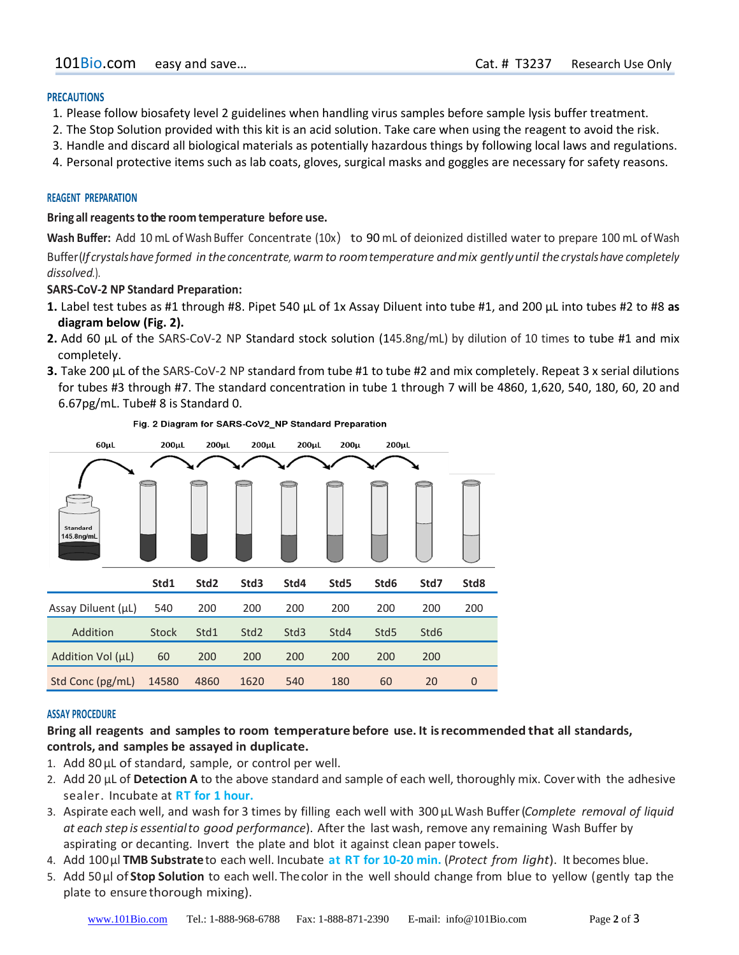### **PRECAUTIONS**

- 1. Please follow biosafety level 2 guidelines when handling virus samples before sample lysis buffer treatment.
- 2. The Stop Solution provided with this kit is an acid solution. Take care when using the reagent to avoid the risk.
- 3. Handle and discard all biological materials as potentially hazardous things by following local laws and regulations.
- 4. Personal protective items such as lab coats, gloves, surgical masks and goggles are necessary for safety reasons.

### **REAGENT PREPARATION**

### **Bring all reagentstothe room temperature before use.**

**Wash Buffer:** Add 10 mL ofWash Buffer Concentrate (10x) to 90 mL of deionized distilled water to prepare 100 mL ofWash Buffer (*If crystalshave formed in theconcentrate, warmto roomtemperature andmix gentlyuntil the crystalshave completely dissolved.*).

### **SARS-CoV-2 NP Standard Preparation:**

- **1.** Label test tubes as #1 through #8. Pipet 540 µL of 1x Assay Diluent into tube #1, and 200 µL into tubes #2 to #8 **as diagram below (Fig. 2).**
- **2.** Add 60 µL of the SARS-CoV-2 NP Standard stock solution (145.8ng/mL) by dilution of 10 times to tube #1 and mix completely.
- **3.** Take 200 µL of the SARS-CoV-2 NP standard from tube #1 to tube #2 and mix completely. Repeat 3 x serial dilutions for tubes #3 through #7. The standard concentration in tube 1 through 7 will be 4860, 1,620, 540, 180, 60, 20 and 6.67pg/mL. Tube# 8 is Standard 0.



Fig. 2 Diagram for SARS-CoV2\_NP Standard Preparation

## **ASSAY PROCEDURE**

# **Bring all reagents and samples to room temperature before use. It isrecommended that all standards, controls, and samples be assayed in duplicate.**

- 1. Add 80µL of standard, sample, or control per well.
- 2. Add 20 µL of **Detection A** to the above standard and sample of each well, thoroughly mix. Coverwith the adhesive sealer. Incubate at **RT for 1 hour.**
- 3. Aspirate each well, and wash for 3 times by filling each well with 300 µL Wash Buffer(*Complete removal of liquid at each step is essentialto good performance*). After the last wash, remove any remaining Wash Buffer by aspirating or decanting. Invert the plate and blot it against clean paper towels.
- 4. Add 100µl **TMB Substrate**to each well. Incubate **at RT for 10-20 min.** (*Protect from light*). It becomes blue.
- 5. Add 50µl of **Stop Solution** to each well. Thecolor in the well should change from blue to yellow (gently tap the plate to ensure thorough mixing).